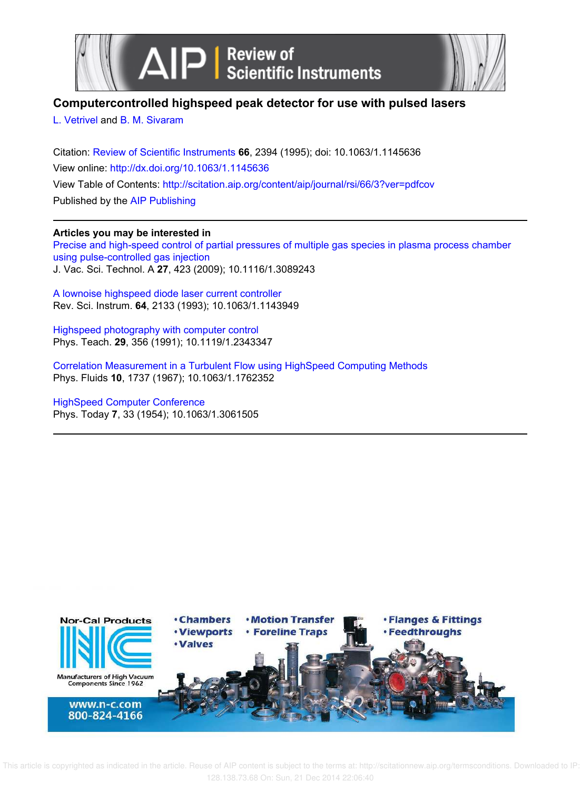

## **Computercontrolled highspeed peak detector for use with pulsed lasers**

L. Vetrivel and B. M. Sivaram

Citation: Review of Scientific Instruments **66**, 2394 (1995); doi: 10.1063/1.1145636 View online: http://dx.doi.org/10.1063/1.1145636 View Table of Contents: http://scitation.aip.org/content/aip/journal/rsi/66/3?ver=pdfcov Published by the AIP Publishing

### **Articles you may be interested in**

Precise and high-speed control of partial pressures of multiple gas species in plasma process chamber using pulse-controlled gas injection J. Vac. Sci. Technol. A **27**, 423 (2009); 10.1116/1.3089243

A lownoise highspeed diode laser current controller Rev. Sci. Instrum. **64**, 2133 (1993); 10.1063/1.1143949

Highspeed photography with computer control Phys. Teach. **29**, 356 (1991); 10.1119/1.2343347

Correlation Measurement in a Turbulent Flow using HighSpeed Computing Methods Phys. Fluids **10**, 1737 (1967); 10.1063/1.1762352

HighSpeed Computer Conference Phys. Today **7**, 33 (1954); 10.1063/1.3061505

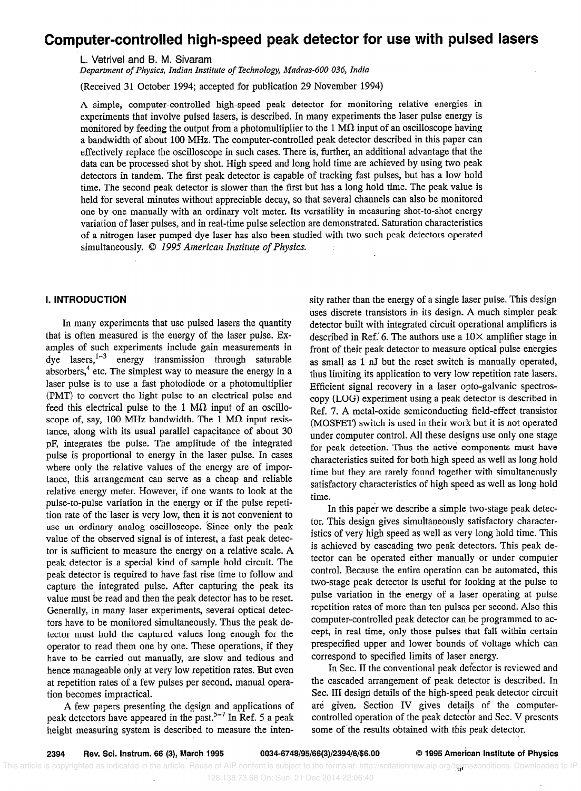# Computer-controlled high-speed peak detector for use with pulsed lasers

L. Vetrivel and B. M. Sivaram

Department of Physics, Indian Institute of Technology, Madras-600 036, India

(Received 31 October 1994; accepted for publication 29 November 1994)

A simple, computer-controlled high-speed peak detector for monitoring relative energies in experiments that involve pulsed lasers, is described. In many experiments the laser pulse energy is monitored by feeding the output from a photomultiplier to the 1  $\text{M}\Omega$  input of an oscilloscope having a bandwidth of about 100 MHz. The computer-controlled peak detector described in this paper can effectively replace the oscilloscope in such cases. There is, further, an additional advantage that the data can be processed shot by shot. High speed and long hold time are achieved by using two peak detectors in tandem. The first peak detector is capable of tracking fast pulses, but has a low hold time. The second peak detector is slower than the first but has a long hold time. The peak value is held for several minutes without appreciable decay, so that several channels can also be monitored one by one manually with an ordinary volt meter. Its versatility in measuring shot-to-shot energy variation of laser pulses, and in real-time pulse selection are demonstrated. Saturation characteristics of a nitrogen laser pumped dye laser has also been studied with two such peak detectors operated simultaneously. © 1995 American Institute of Physics.

### I. INTRODUCTION

In many experiments that use pulsed lasers the quantity that is often measured is the energy of the laser pulse. Examples of such experiments include gain measurements in dye lasers,  $1-3$  energy transmission through saturable absorbers,<sup>4</sup> etc. The simplest way to measure the energy in a laser pulse is to use a fast photodiode or a photomultiplier (PMT) to convert the light pulse to an electrical pulse and feed this electrical pulse to the 1  $M\Omega$  input of an oscilloscope of, say, 100 MHz bandwidth. The 1 M $\Omega$  input resistance, along with its usual parallel capacitance of about 30 pF, integrates the pulse. The amplitude of the integrated pulse is proportional to energy in the laser pulse. In cases where only the relative values of the energy are of importance, this arrangement can serve as a cheap and reliable relative energy meter. However, if one wants to look at the pulse-to-pulse variation in the energy or if the pulse repetition rate of the laser is very low, then it is not convenient to use an ordinary analog oscilloscope. Since only the peak value of the observed signal is of interest, a fast peak detector is sufficient to measure the energy on a relative scale. A peak detector is a special kind of sample hold circuit. The peak detector is required to have fast rise time to follow and capture the integrated pulse. After capturing the peak its value must be read and then the peak detector has to be reset. Generally, in many laser experiments, several optical detectors have to be monitored simultaneously. Thus the peak detector must hold the captured values long enough for the operator to read them one by one. These operations, if they have to be carried out manually, are slow and tedious and hence manageable only at very low repetition rates. But even at repetition rates of a few pulses per second, manual operation becomes impractical.

A few papers presenting the design and applications of peak detectors have appeared in the past.<sup>5-7</sup> In Ref. 5 a peak height measuring system is described to measure the intensity rather than the energy of a single laser pulse. This design uses discrete transistors in its design. A much simpler peak detector built with integrated circuit operational amplifiers is described in Ref.' 6. The authors use a  $10\times$  amplifier stage in front of their peak detector to measure optical pulse energies as small as 1 nJ but the reset switch is manually operated, thus limiting its application to very low repetition rate lasers. Efficient signal recovery in a laser opto-galvanic spectroscopy (LOG) experiment using a peak detector is described in Ref. 7. A metal-oxide semiconducting field-effect transistor (MOSFET) switch is used in their work but it is not operated under computer control. All these designs use only one stage for peak detection. Thus the active components must have characteristics suited for both high speed as well as long hold time but they are rarely found together with simultaneously satisfactory characteristics of high speed as well as long hold time.

In this paper we describe a simple two-stage peak detector. This design gives simultaneously satisfactory characteristics of very high speed as well as very long hold time. This is achieved by cascading two peak detectors. This peak detector can be operated either manually or under computer control. Because the entire operation can be automated, this two-stage peak detector is useful for looking at the pulse to pulse variation in the energy of a laser operating at pulse repetition rates of more than ten pulses per second. Also this computer-controlled peak detector can be programmed to accept, in real time, only those pulses that fall within certain prespecified upper and lower bounds of voltage which can correspond to specified limits of laser energy.

In Sec. II the conventional peak defector is reviewed and the cascaded arrangement of peak detector is described. in Sec. III design details of the high-speed peak detector circuit are given. Section IV gives details of the computercontrolled operation of the peak detector and Sec. V presents some of the results obtained with this peak detector.

This article is copyrighted as indicated in the article. Reuse of AIP content is subject to the terms at: http://scitationnew.aip.org/termsconditions. Downloaded to IP: 128.138.73.68 On: Sun, 21 Dec 2014 22:06:40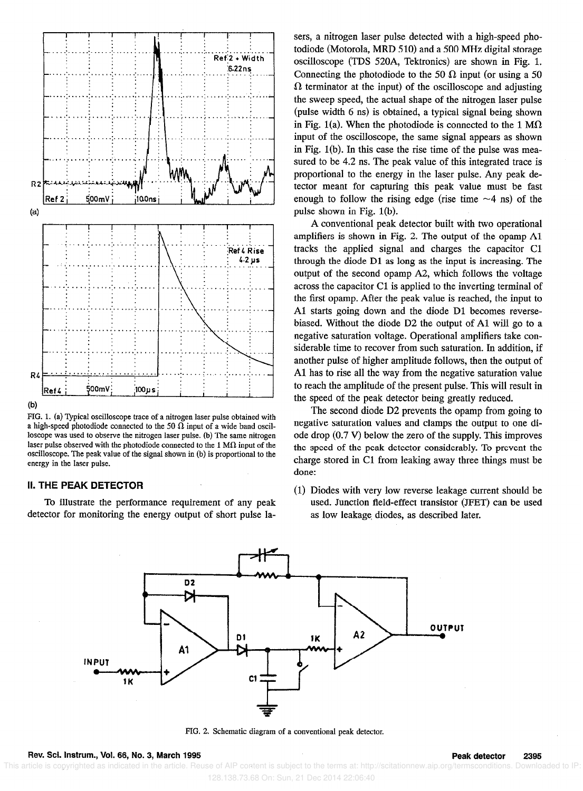

 $(b)$ 

FIG. 1. (a) Typical oscilloscope trace of a nitrogen laser pulse obtained with a high-speed photodiode connected to the 50  $\Omega$  input of a wide band oscilloscope was used to observe the nitrogen laser pulse. (b) The same nitrogen laser pulse observed with the photodiode connected to the 1 M $\Omega$  input of the oscilloscope. The peak value of the signal shown in (b) is proportional to the energy in the laser pulse.

### II. THE PEAK DETECTOR

To illustrate the performance requirement of any peak detector for monitoring the energy output of short pulse lasers, a nitrogen laser pulse detected with a high-speed photodiode (Motorola, MRD 510) and a 500 MHz digital storage oscilloscope (TDS 520A, Tektronics) are shown in Fig. 1. Connecting the photodiode to the 50  $\Omega$  input (or using a 50  $\Omega$  terminator at the input) of the oscilloscope and adjusting the sweep speed, the actual shape of the nitrogen laser pulse (pulse width 6 ns) is obtained, a typical signal being shown in Fig. 1(a). When the photodiode is connected to the 1 M $\Omega$ input of the oscilloscope, the same signal appears as shown in Fig. l(b). In this case the rise time of the pulse was measured to be 4.2 ns. The peak value of this integrated trace is proportional to the energy in the laser pulse. Any peak detector meant for capturing this peak value must be fast enough to follow the rising edge (rise time  $\sim$ 4 ns) of the pulse shown in Fig. 1(b).

A conventional peak detector built with two operational amplifiers is shown in Fig. 2. The output of the opamp Al tracks the applied signal and charges the capacitor Cl through the diode Dl as long as the input is increasing. The output of the second opamp A2, which follows the voltage across the capacitor Cl is applied to the inverting terminal of the first opamp. After the peak value is reached, the input to Al starts going down and the diode Dl becomes reversebiased. Without the diode D2 the output of Al will go to a negative saturation voltage. Operational amplifiers take considerable time to recover from such saturation. In addition, if another pulse of higher amplitude follows, then the output of Al has to rise all the way from the negative saturation value to reach the amplitude of the present pulse. This will result in the speed of the peak detector being greatly reduced.

The second diode D2 prevents the opamp from going to negative saturation values and clamps the output to one diode drop (0.7 V) below the zero of the supply. This improves the speed of the peak detector considerably. To prevent the charge stored in C1 from leaking away three things must be done:

(1) Diodes with very low reverse leakage current should be used. Junction field-effect transistor (JFET) can be used as low leakage. diodes, as described later.



FIG. 2. Schematic diagram of a conventional peak detector.

Rev. Sci. Instrum., Vol. 66, No. 3, March 1995 Peak detector 2395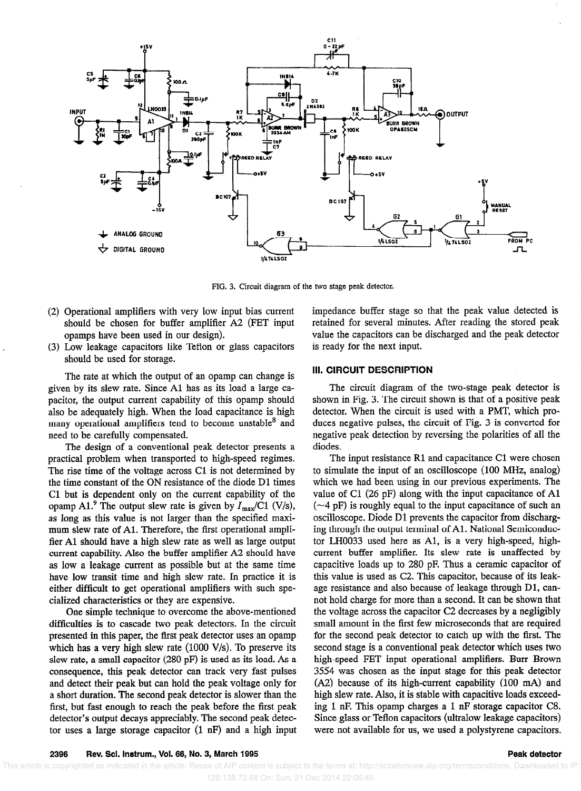

FIG. 3. Circuit diagram of the two stage peak detector.

- (2) Operational amplifiers with very low input bias current should be chosen for buffer amplifier A2 (FET input opamps have been used in our design).
- (3) Low leakage capacitors like Teflon or glass capacitors should be used for storage.

The rate at which the output of an opamp can change is given by its slew rate. Since Al has as its load a large capacitor, the output current capability of this opamp should also be adequately high. When the load capacitance is high many operational amplifiers tend to become unstable<sup>8</sup> and need to be carefully compensated.

The design of a conventional peak detector presents a practical problem when transported to high-speed regimes. The rise time of the voltage across Cl is not determined by the time constant of the ON resistance of the diode Dl times Cl but is dependent only on the current capability of the opamp A1.<sup>9</sup> The output slew rate is given by  $I_{\text{max}}/C1$  (V/s), as long as this value is not larger than the specified maximum slew rate of Al. Therefore, the first operational amplifier Al should have a high slew rate as well as large output current capability. Also the buffer amplifier A2 should have as low a leakage current as possible but at the same time have low transit time and high slew rate. In practice it is either difficult to get operational amplifiers with such specialized characteristics or they are expensive.

One simple technique to overcome the above-mentioned difficulties is to cascade two peak detectors. In the circuit presented in this paper, the first peak detector uses an opamp which has a very high slew rate (1000 V/s). To preserve its slew rate, a small capacitor (280 pF) is used as its load. As a consequence, this peak detector can track very fast pulses and detect their peak but can hold the peak voltage only for a short duration. The second peak detector is slower than the first, but fast enough to reach the peak before the first peak detector's output decays appreciably. The second peak detector uses a large storage capacitor (1 nF) and a high input impedance buffer stage so that the peak value detected is retained for several minutes. After reading the stored peak value the capacitors can be discharged and the peak detector is ready for the next input.

### III. CIRCUIT DESCRIPTION

The circuit diagram of the two-stage peak detector is shown in Fig. 3. The circuit shown is that of a positive peak detector. When the circuit is used with a PMT, which produces negative pulses, the circuit of Fig. 3 is converted for negative peak detection by reversing the polarities of all the diodes.

The input resistance R1 and capacitance C1 were chosen to simulate the input of an oscilloscope (100 MHz, analog) which we had been using in our previous experiments. The value of Cl (26 pF) along with the input capacitance of Al  $(-4 \text{ pF})$  is roughly equal to the input capacitance of such an oscilloscope. Diode Dl prevents the capacitor from discharging through the output terminal of Al. National Semiconductor LB0033 used here as Al, is a very high-speed, highcurrent buffer amplifier. Its slew rate is unaffected by capacitive loads up to 280 pF. Thus a ceramic capacitor of this value is used as C2. This capacitor, because of its leakage resistance and also because of leakage through Dl, cannot hold charge for more than a second. It can be shown that the voltage across the capacitor C2 decreases by a negligibly small amount in the first few microseconds that are required for the second peak detector to catch up with the first. The second stage is a conventional peak detector which uses two high-speed FET input operational amplifiers. Burr Brown 3554 was chosen as the input stage for this peak detector  $(A2)$  because of its high-current capability  $(100 \text{ mA})$  and high slew rate. Also, it is stable with capacitive loads exceeding 1 nF. This opamp charges a 1 nF storage capacitor C8. Since glass or Teflon capacitors (ultralow leakage capacitors) were not available for us, we used a polystyrene capacitors.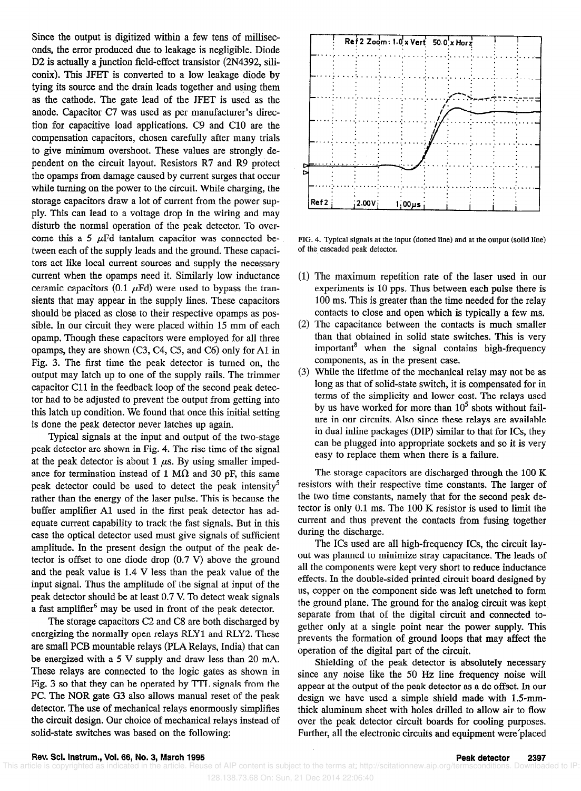Since the output is digitized within a few tens of milliseconds, the error produced due to leakage is negligible. Diode D2 is actually a junction field-effect transistor (2N4392, siliconix). This JFET is converted to a low leakage diode by tying its source and the drain leads together and using them as the cathode. The gate lead of the JFET is used as the anode. Capacitor C7 was used as per manufacturer's direction for capacitive load applications. C9 and Cl0 are the compensation capacitors, chosen carefully after many trials to give minimum overshoot. These values are strongly dependent on the circuit layout. Resistors R7 and R9 protect the opamps from damage caused by current surges that occur while turning on the power to the circuit. While charging, the storage capacitors draw a lot of current from the power supply. This can lead to a voltage drop in the wiring and may disturb the normal operation of the peak detector. To overcome this a 5  $\mu$ Fd tantalum capacitor was connected between each of the supply leads and the ground. These capacitors act like local current sources and supply the necessary current when the opamps need it. Similarly low inductance ceramic capacitors (0.1  $\mu$ Fd) were used to bypass the transients that may appear in the supply lines. These capacitors should be placed as close to their respective opamps as possible. In our circuit they were placed within 15 mm of each opamp. Though these capacitors were employed for all three opamps, they are shown (C3, C4, C5, and C6) only for Al in Fig. 3. The first time the peak detector is turned on, the output may latch up to one of the supply rails. The trimmer capacitor Cl1 in the feedback loop of the second peak detector had to be adjusted to prevent the output from getting into this latch up condition. We found that once this initial setting is done the peak detector never latches up again.

Typical signals at the input and output of the two-stage peak detector are shown in Fig. 4. The rise time of the signal at the peak detector is about 1  $\mu$ s. By using smaller impedance for termination instead of 1 M $\Omega$  and 30 pF, this same peak detector could be used to detect the peak intensity<sup>5</sup> rather than the energy of the laser pulse. This is because the buffer amplifier Al used in the first peak detector has adequate current capability to track the fast signals. But in this case the optical detector used must give signals of sufficient amplitude. In the present design the output of the peak detector is offset to one diode drop (0.7 V) above the ground and the peak value is 1.4 V less than the peak value of the input signal. Thus the amplitude of the signal at input of the peak detector should be at least 0.7 V. To detect weak signals a fast amplifier<sup>6</sup> may be used in front of the peak detector.

The storage capacitors C2 and C8 are both discharged by energizing the normally open relays RLYl and RLY2. These are small PCB mountable relays (PLA Relays, India) that can be energized with a 5 V supply and draw less than 20 mA. These relays are connected to the logic gates as shown in Fig. 3 so that they can be operated by TTL signals from the PC. The NOR gate G3 also allows manual reset of the peak detector. The use of mechanical relays enormously simplifies the circuit design. Our choice of mechanical relays instead of solid-state switches was based on the following:



FIG. 4. Typical signals at the input (dotted line) and at the output (solid line) of the cascaded peak detector.

- (1) The maximum repetition rate of the laser used in OUT experiments is 10 pps. Thus between each pulse there is 100 ms. This is greater than the time needed for the relay contacts to close and open which is typically a few ms.
- (2) The capacitance between the contacts is much smaller than that obtained in solid state switches. This is very important ${}^{8}$  when the signal contains high-frequency components, as in the present case.
- (3) While the lifetime of the mechanical relay may not be as long as that of solid-state switch, it is compensated for in terms of the simplicity and lower cost. The relays used by us have worked for more than  $10^5$  shots without failure in our circuits. Also since these relays are available in dual inline packages (DIP) similar to that for ICs, they can be plugged into appropriate sockets and so it is very easy to replace them when there is a failure.

The storage capacitors are discharged through the 100 K resistors with their respective time constants. The larger of the two time constants, namely that for the second peak detector is only 0.1 ms. The 100 K resistor is used to limit the current and thus prevent the contacts from fusing together during the discharge.

The ICs used are all high-frequency ICs, the circuit layout was planned to minimize stray capacitance. The leads of all the components were kept very short to reduce inductance effects. In the double-sided printed circuit board designed by us, copper on the component side was left unetched to form the ground plane. The ground for the analog circuit was kept separate from that of the digital circuit and connected together only at a single point near the power supply. This prevents the formation of ground loops that may affect the operation of the digital part of the circuit.

Shielding of the peak detector is absolutely necessary since any noise like the 50 Hz line frequency noise will appear at the output of the peak detector as a dc offset. In our design we have used a simple shield made with 1.5~mmthick aluminum sheet with holes drilled to allow air to flow over the peak detector circuit boards for cooling purposes. Further, all the electronic circuits and equipment were'placed

Rev. Scl. Instrum., Vol. 66, No. 3, March 1995<br>icle is copyrighted as indicated in the article. Reuse of AIP content is subject to the terms at: http://scitationnew.aip.org/termsconditions. Downloaded to IP This article is copyrighted as indicated in the article. Reuse of AIP content is subject to the terms at: http://scitationnew.aip.org/termsconditions 128.138.73.68 On: Sun, 21 Dec 2014 22:06:40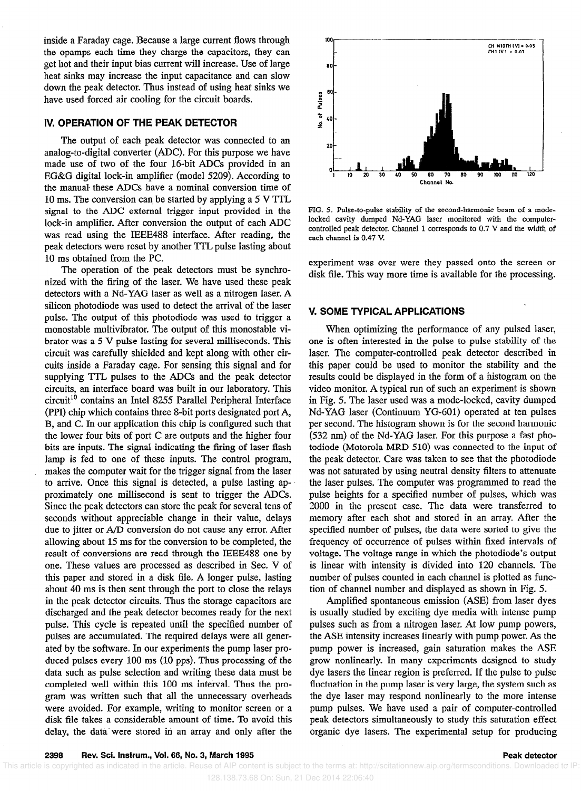inside a Faraday cage. Because a large current flows through the opamps each time they charge the capacitors, they can get hot and their input bias current will increase. Use of large heat sinks may increase the input capacitance and can slow down the peak detector. Thus instead of using heat sinks we have used forced air cooling for the circuit boards.

### IV. OPERATION OF THE PEAK DETECTOR

The output of each peak detector was connected to an analog-to-digital converter (ADC). For this purpose we have made use of two of the four 16-bit ADCs provided in an EG&G digital lock-in amplifier (model 5209). According to the manual these ADCs have a nominal conversion time of 10 ms. The conversion can be started by applying a  $5 V TTL$ signal to the ADC external trigger input provided in the lock-in amplifier. After conversion the output of each ADC was read using the IEEE488 interface. After reading, the peak detectors were reset by another TTL pulse lasting about 10 ms obtained from the PC.

The operation of the peak detectors must be synchronized with the firing of the laser. We have used these peak detectors with a Nd-YAG laser as well as a nitrogen laser. A silicon photodiode was used to detect the arrival of the laser pulse. The output of this photodiode was used to trigger a monostable multivibrator. The output of this monostable vibrator was a 5 V pulse lasting for several milliseconds. This circuit was carefully shielded and kept along with other circuits inside a Faraday cage. For sensing this signal and for supplying TTL pulses to the ADCs and the peak detector circuits, an interface board was built in our laboratory. This circuit<sup>10</sup> contains an Intel 8255 Parallel Peripheral Interface (PPI) chip which contains three 8-bit ports designated port A, B, and C. In our application this chip is configured such that the lower four bits of port C are outputs and the higher four bits are inputs. The signal indicating the firing of laser flash lamp is fed to one of these inputs. The control program, makes the computer wait for the trigger signal from the laser to arrive. Once this signal is detected, a pulse lasting approximately one millisecond is sent to trigger the ADCs. Since the peak detectors can store the peak for several tens of seconds without appreciable change in their value, delays due to jitter or A/D conversion do not cause any error. After allowing about 15 ms for the conversion to be completed, the result of conversions are read through the IEEE488 one by one. These values are processed as described in Sec. V of this paper and stored in a disk file. A longer pulse, lasting about 40 ms is then sent through the port to close the relays in the peak detector circuits. Thus the storage capacitors are discharged and the peak detector becomes ready for the next pulse. This cycle is repeated until the specified number of pulses are accumulated. The required delays were all generated by the software. In our experiments the pump laser produced pulses every 100 ms (10 pps). Thus processing of the data such as pulse selection and writing these data must be completed well within this 100 ms interval. Thus the program was written such that all the unnecessary overheads were avoided. For example, writing to monitor screen or a disk file takes a considerable amount of time. To avoid this delay, the data were stored in an array and only after the



FIG. 5. Pulse-to-pulse stability of the second-harmonic beam of a modelocked cavity dumped Nd-YAG laser monitored with the computercontrolled peak detector. ChanneI 1 corresponds to 0.7 V and the width of each channel is 0.47 V.

experiment was over were they passed onto the screen or disk file. This way more time is available for the processing.

### V. SOME TYPICAL APPLICATIONS

When optimizing the performance of any pulsed laser, one is often interested in the pulse to pulse stability of the laser. The computer-controlled peak detector described in this paper could be used to monitor the stability and the results could be displayed in the form of a histogram on the video monitor. A typical run of such an experiment is shown in Fig. 5. The laser used was a mode-locked, cavity dumped Nd-YAG laser (Continuum YG-601) operated at ten pulses per second. The histogram shown is for the second harmonic (532 nm) of the Nd-YAG laser. For this purpose a fast photodiode (Motorola MRD 510) was connected to the input of the peak detector. Care was taken to see that the photodiode was not saturated by using neutral density filters to attenuate the laser pulses. The computer was programmed to read the pulse heights for a specified number of pulses, which was 2000 in the present case. The data were transferred to memory after each shot and stored in an array. After the specified number of pulses, the data were sorted to give the frequency of occurrence of pulses within fixed intervals of voltage. The voltage range in which the photodiode's output is linear with intensity is divided into 120 channels. The number of pulses counted in each channel is plotted as function of channel number and displayed as shown in Fig. 5.

Amplified spontaneous emission (ASE) from laser dyes is usually studied by exciting dye media with intense pump pulses such as from a nitrogen laser. At low pump powers, the ASE intensity increases linearly with pump power. As the pump power is increased, gain saturation makes the ASE grow nonlinearly. In many experiments designed to study dye lasers the linear region is preferred. If the pulse to pulse fluctuation in the pump laser is very large, the system such as the dye laser may respond nonlinearly to the more intense pump pulses. We have used a pair of computer-controlled peak detectors simultaneously to study this saturation effect organic dye lasers. The experimental setup for producing